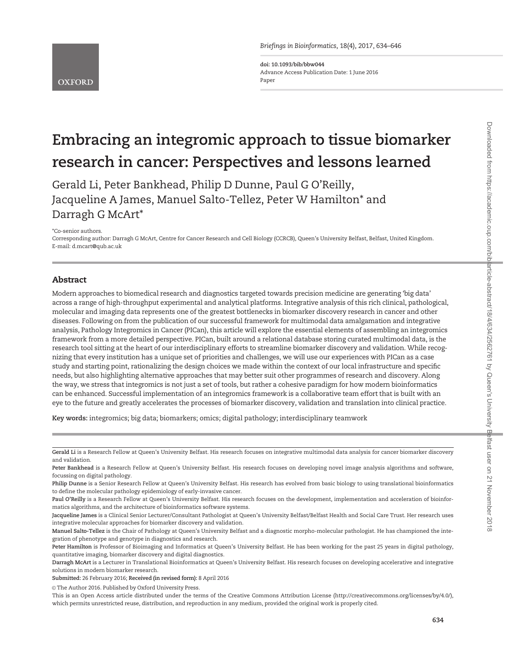doi: 10.1093/bib/bbw044 Advance Access Publication Date: 1 June 2016 Paper

# Embracing an integromic approach to tissue biomarker research in cancer: Perspectives and lessons learned

Gerald Li, Peter Bankhead, Philip D Dunne, Paul G O'Reilly, Jacqueline A James, Manuel Salto-Tellez, Peter W Hamilton\* and Darragh G McArt\*

\*Co-senior authors.

Corresponding author: Darragh G McArt, Centre for Cancer Research and Cell Biology (CCRCB), Queen's University Belfast, Belfast, United Kingdom. E-mail: d.mcart@qub.ac.uk

## Abstract

Modern approaches to biomedical research and diagnostics targeted towards precision medicine are generating 'big data' across a range of high-throughput experimental and analytical platforms. Integrative analysis of this rich clinical, pathological, molecular and imaging data represents one of the greatest bottlenecks in biomarker discovery research in cancer and other diseases. Following on from the publication of our successful framework for multimodal data amalgamation and integrative analysis, Pathology Integromics in Cancer (PICan), this article will explore the essential elements of assembling an integromics framework from a more detailed perspective. PICan, built around a relational database storing curated multimodal data, is the research tool sitting at the heart of our interdisciplinary efforts to streamline biomarker discovery and validation. While recognizing that every institution has a unique set of priorities and challenges, we will use our experiences with PICan as a case study and starting point, rationalizing the design choices we made within the context of our local infrastructure and specific needs, but also highlighting alternative approaches that may better suit other programmes of research and discovery. Along the way, we stress that integromics is not just a set of tools, but rather a cohesive paradigm for how modern bioinformatics can be enhanced. Successful implementation of an integromics framework is a collaborative team effort that is built with an eye to the future and greatly accelerates the processes of biomarker discovery, validation and translation into clinical practice.

Key words: integromics; big data; biomarkers; omics; digital pathology; interdisciplinary teamwork

Submitted: 26 February 2016; Received (in revised form): 8 April 2016

Gerald Li is a Research Fellow at Queen's University Belfast. His research focuses on integrative multimodal data analysis for cancer biomarker discovery and validation.

Peter Bankhead is a Research Fellow at Queen's University Belfast. His research focuses on developing novel image analysis algorithms and software, focussing on digital pathology.

Philip Dunne is a Senior Research Fellow at Queen's University Belfast. His research has evolved from basic biology to using translational bioinformatics to define the molecular pathology epidemiology of early-invasive cancer.

Paul O'Reilly is a Research Fellow at Queen's University Belfast. His research focuses on the development, implementation and acceleration of bioinformatics algorithms, and the architecture of bioinformatics software systems.

Jacqueline James is a Clinical Senior Lecturer/Consultant Pathologist at Queen's University Belfast/Belfast Health and Social Care Trust. Her research uses integrative molecular approaches for biomarker discovery and validation.

Manuel Salto-Tellez is the Chair of Pathology at Queen's University Belfast and a diagnostic morpho-molecular pathologist. He has championed the integration of phenotype and genotype in diagnostics and research.

Peter Hamilton is Professor of Bioimaging and Informatics at Queen's University Belfast. He has been working for the past 25 years in digital pathology, quantitative imaging, biomarker discovery and digital diagnostics.

Darragh McArt is a Lecturer in Translational Bioinformatics at Queen's University Belfast. His research focuses on developing accelerative and integrative solutions in modern biomarker research.

<sup>©</sup> The Author 2016. Published by Oxford University Press.

This is an Open Access article distributed under the terms of the Creative Commons Attribution License (http://creativecommons.org/licenses/by/4.0/), which permits unrestricted reuse, distribution, and reproduction in any medium, provided the original work is properly cited.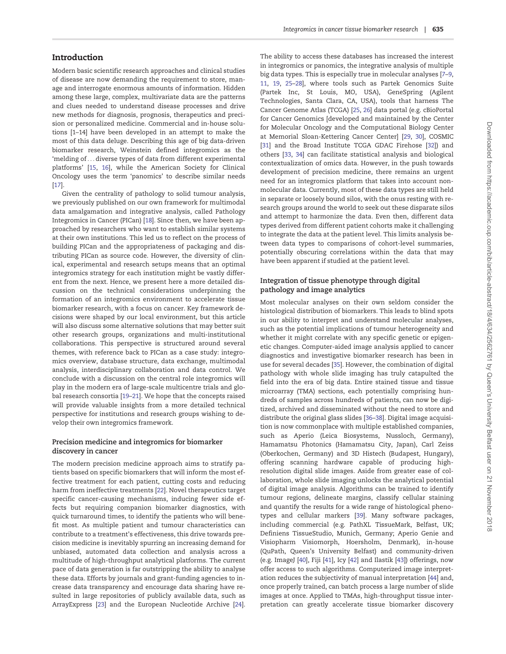Modern basic scientific research approaches and clinical studies of disease are now demanding the requirement to store, manage and interrogate enormous amounts of information. Hidden among these large, complex, multivariate data are the patterns and clues needed to understand disease processes and drive new methods for diagnosis, prognosis, therapeutics and precision or personalized medicine. Commercial and in-house solutions [1–14] have been developed in an attempt to make the most of this data deluge. Describing this age of big data-driven biomarker research, Weinstein defined integromics as the 'melding of... diverse types of data from different experimental platforms' [\[15](#page-10-0), [16\]](#page-10-0), while the American Society for Clinical Oncology uses the term 'panomics' to describe similar needs [\[17\]](#page-10-0).

Given the centrality of pathology to solid tumour analysis, we previously published on our own framework for multimodal data amalgamation and integrative analysis, called Pathology Integromics in Cancer (PICan) [[18](#page-10-0)]. Since then, we have been approached by researchers who want to establish similar systems at their own institutions. This led us to reflect on the process of building PICan and the appropriateness of packaging and distributing PICan as source code. However, the diversity of clinical, experimental and research setups means that an optimal integromics strategy for each institution might be vastly different from the next. Hence, we present here a more detailed discussion on the technical considerations underpinning the formation of an integromics environment to accelerate tissue biomarker research, with a focus on cancer. Key framework decisions were shaped by our local environment, but this article will also discuss some alternative solutions that may better suit other research groups, organizations and multi-institutional collaborations. This perspective is structured around several themes, with reference back to PICan as a case study: integromics overview, database structure, data exchange, multimodal analysis, interdisciplinary collaboration and data control. We conclude with a discussion on the central role integromics will play in the modern era of large-scale multicentre trials and global research consortia [\[19–21](#page-10-0)]. We hope that the concepts raised will provide valuable insights from a more detailed technical perspective for institutions and research groups wishing to develop their own integromics framework.

## Precision medicine and integromics for biomarker discovery in cancer

The modern precision medicine approach aims to stratify patients based on specific biomarkers that will inform the most effective treatment for each patient, cutting costs and reducing harm from ineffective treatments [\[22](#page-10-0)]. Novel therapeutics target specific cancer-causing mechanisms, inducing fewer side effects but requiring companion biomarker diagnostics, with quick turnaround times, to identify the patients who will benefit most. As multiple patient and tumour characteristics can contribute to a treatment's effectiveness, this drive towards precision medicine is inevitably spurring an increasing demand for unbiased, automated data collection and analysis across a multitude of high-throughput analytical platforms. The current pace of data generation is far outstripping the ability to analyse these data. Efforts by journals and grant-funding agencies to increase data transparency and encourage data sharing have resulted in large repositories of publicly available data, such as ArrayExpress [\[23](#page-10-0)] and the European Nucleotide Archive [\[24\]](#page-11-0).

The ability to access these databases has increased the interest in integromics or panomics, the integrative analysis of multiple big data types. This is especially true in molecular analyses [\[7](#page-10-0)–[9](#page-10-0), [11](#page-10-0), [19,](#page-10-0) [25–28\]](#page-11-0), where tools such as Partek Genomics Suite (Partek Inc, St Louis, MO, USA), GeneSpring (Agilent Technologies, Santa Clara, CA, USA), tools that harness The Cancer Genome Atlas (TCGA) [\[25,](#page-11-0) [26](#page-11-0)] data portal (e.g. cBioPortal for Cancer Genomics [developed and maintained by the Center for Molecular Oncology and the Computational Biology Center at Memorial Sloan-Kettering Cancer Center] [[29](#page-11-0), [30](#page-11-0)], COSMIC [\[31\]](#page-11-0) and the Broad Institute TCGA GDAC Firehose [[32](#page-11-0)]) and others [\[33,](#page-11-0) [34](#page-11-0)] can facilitate statistical analysis and biological contextualization of omics data. However, in the push towards development of precision medicine, there remains an urgent need for an integromics platform that takes into account nonmolecular data. Currently, most of these data types are still held in separate or loosely bound silos, with the onus resting with research groups around the world to seek out these disparate silos and attempt to harmonize the data. Even then, different data types derived from different patient cohorts make it challenging to integrate the data at the patient level. This limits analysis between data types to comparisons of cohort-level summaries, potentially obscuring correlations within the data that may have been apparent if studied at the patient level.

## Integration of tissue phenotype through digital pathology and image analytics

Most molecular analyses on their own seldom consider the histological distribution of biomarkers. This leads to blind spots in our ability to interpret and understand molecular analyses, such as the potential implications of tumour heterogeneity and whether it might correlate with any specific genetic or epigenetic changes. Computer-aided image analysis applied to cancer diagnostics and investigative biomarker research has been in use for several decades [[35](#page-11-0)]. However, the combination of digital pathology with whole slide imaging has truly catapulted the field into the era of big data. Entire stained tissue and tissue microarray (TMA) sections, each potentially comprising hundreds of samples across hundreds of patients, can now be digitized, archived and disseminated without the need to store and distribute the original glass slides [[36–38\]](#page-11-0). Digital image acquisition is now commonplace with multiple established companies, such as Aperio (Leica Biosystems, Nussloch, Germany), Hamamatsu Photonics (Hamamatsu City, Japan), Carl Zeiss (Oberkochen, Germany) and 3D Histech (Budapest, Hungary), offering scanning hardware capable of producing highresolution digital slide images. Aside from greater ease of collaboration, whole slide imaging unlocks the analytical potential of digital image analysis. Algorithms can be trained to identify tumour regions, delineate margins, classify cellular staining and quantify the results for a wide range of histological phenotypes and cellular markers [[39\]](#page-11-0). Many software packages, including commercial (e.g. PathXL TissueMark, Belfast, UK; Definiens TissueStudio, Munich, Germany; Aperio Genie and Visiopharm Visiomorph, Hoersholm, Denmark), in-house (QuPath, Queen's University Belfast) and community-driven (e.g. ImageJ [\[40](#page-11-0)], Fiji [\[41](#page-11-0)], Icy [[42](#page-11-0)] and Ilastik [[43](#page-11-0)]) offerings, now offer access to such algorithms. Computerized image interpretation reduces the subjectivity of manual interpretation [\[44\]](#page-11-0) and, once properly trained, can batch process a large number of slide images at once. Applied to TMAs, high-throughput tissue interpretation can greatly accelerate tissue biomarker discovery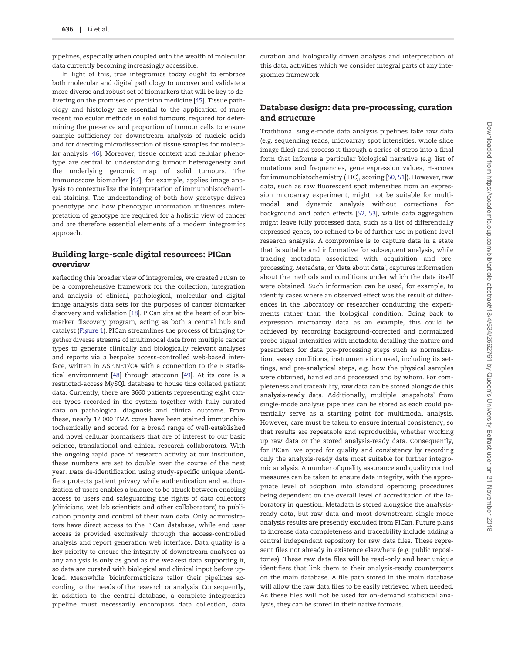pipelines, especially when coupled with the wealth of molecular data currently becoming increasingly accessible.

In light of this, true integromics today ought to embrace both molecular and digital pathology to uncover and validate a more diverse and robust set of biomarkers that will be key to delivering on the promises of precision medicine [[45](#page-11-0)]. Tissue pathology and histology are essential to the application of more recent molecular methods in solid tumours, required for determining the presence and proportion of tumour cells to ensure sample sufficiency for downstream analysis of nucleic acids and for directing microdissection of tissue samples for molecular analysis [[46](#page-11-0)]. Moreover, tissue context and cellular phenotype are central to understanding tumour heterogeneity and the underlying genomic map of solid tumours. The Immunoscore biomarker [\[47\]](#page-11-0), for example, applies image analysis to contextualize the interpretation of immunohistochemical staining. The understanding of both how genotype drives phenotype and how phenotypic information influences interpretation of genotype are required for a holistic view of cancer and are therefore essential elements of a modern integromics approach.

## Building large-scale digital resources: PICan overview

Reflecting this broader view of integromics, we created PICan to be a comprehensive framework for the collection, integration and analysis of clinical, pathological, molecular and digital image analysis data sets for the purposes of cancer biomarker discovery and validation [[18\]](#page-10-0). PICan sits at the heart of our biomarker discovery program, acting as both a central hub and catalyst [\(Figure 1](#page-3-0)). PICan streamlines the process of bringing together diverse streams of multimodal data from multiple cancer types to generate clinically and biologically relevant analyses and reports via a bespoke access-controlled web-based interface, written in ASP.NET/C# with a connection to the R statistical environment [[48\]](#page-11-0) through statconn [\[49\]](#page-11-0). At its core is a restricted-access MySQL database to house this collated patient data. Currently, there are 3660 patients representing eight cancer types recorded in the system together with fully curated data on pathological diagnosis and clinical outcome. From these, nearly 12 000 TMA cores have been stained immunohistochemically and scored for a broad range of well-established and novel cellular biomarkers that are of interest to our basic science, translational and clinical research collaborators. With the ongoing rapid pace of research activity at our institution, these numbers are set to double over the course of the next year. Data de-identification using study-specific unique identifiers protects patient privacy while authentication and authorization of users enables a balance to be struck between enabling access to users and safeguarding the rights of data collectors (clinicians, wet lab scientists and other collaborators) to publication priority and control of their own data. Only administrators have direct access to the PICan database, while end user access is provided exclusively through the access-controlled analysis and report generation web interface. Data quality is a key priority to ensure the integrity of downstream analyses as any analysis is only as good as the weakest data supporting it, so data are curated with biological and clinical input before upload. Meanwhile, bioinformaticians tailor their pipelines according to the needs of the research or analysis. Consequently, in addition to the central database, a complete integromics pipeline must necessarily encompass data collection, data curation and biologically driven analysis and interpretation of this data, activities which we consider integral parts of any integromics framework.

# Database design: data pre-processing, curation and structure

Traditional single-mode data analysis pipelines take raw data (e.g. sequencing reads, microarray spot intensities, whole slide image files) and process it through a series of steps into a final form that informs a particular biological narrative (e.g. list of mutations and frequencies, gene expression values, H-scores for immunohistochemistry (IHC), scoring [\[50,](#page-11-0) [51](#page-11-0)]). However, raw data, such as raw fluorescent spot intensities from an expression microarray experiment, might not be suitable for multimodal and dynamic analysis without corrections for background and batch effects [[52](#page-11-0), [53\]](#page-11-0), while data aggregation might leave fully processed data, such as a list of differentially expressed genes, too refined to be of further use in patient-level research analysis. A compromise is to capture data in a state that is suitable and informative for subsequent analysis, while tracking metadata associated with acquisition and preprocessing. Metadata, or 'data about data', captures information about the methods and conditions under which the data itself were obtained. Such information can be used, for example, to identify cases where an observed effect was the result of differences in the laboratory or researcher conducting the experiments rather than the biological condition. Going back to expression microarray data as an example, this could be achieved by recording background-corrected and normalized probe signal intensities with metadata detailing the nature and parameters for data pre-processing steps such as normalization, assay conditions, instrumentation used, including its settings, and pre-analytical steps, e.g. how the physical samples were obtained, handled and processed and by whom. For completeness and traceability, raw data can be stored alongside this analysis-ready data. Additionally, multiple 'snapshots' from single-mode analysis pipelines can be stored as each could potentially serve as a starting point for multimodal analysis. However, care must be taken to ensure internal consistency, so that results are repeatable and reproducible, whether working up raw data or the stored analysis-ready data. Consequently, for PICan, we opted for quality and consistency by recording only the analysis-ready data most suitable for further integromic analysis. A number of quality assurance and quality control measures can be taken to ensure data integrity, with the appropriate level of adoption into standard operating procedures being dependent on the overall level of accreditation of the laboratory in question. Metadata is stored alongside the analysisready data, but raw data and most downstream single-mode analysis results are presently excluded from PICan. Future plans to increase data completeness and traceability include adding a central independent repository for raw data files. These represent files not already in existence elsewhere (e.g. public repositories). These raw data files will be read-only and bear unique identifiers that link them to their analysis-ready counterparts on the main database. A file path stored in the main database will allow the raw data files to be easily retrieved when needed. As these files will not be used for on-demand statistical analysis, they can be stored in their native formats.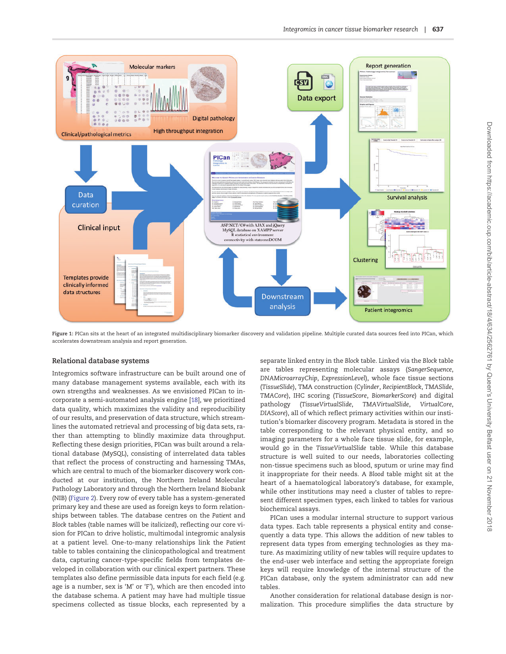<span id="page-3-0"></span>

Figure 1: PICan sits at the heart of an integrated multidisciplinary biomarker discovery and validation pipeline. Multiple curated data sources feed into PICan, which accelerates downstream analysis and report generation.

#### Relational database systems

Integromics software infrastructure can be built around one of many database management systems available, each with its own strengths and weaknesses. As we envisioned PICan to incorporate a semi-automated analysis engine [\[18\]](#page-10-0), we prioritized data quality, which maximizes the validity and reproducibility of our results, and preservation of data structure, which streamlines the automated retrieval and processing of big data sets, rather than attempting to blindly maximize data throughput. Reflecting these design priorities, PICan was built around a relational database (MySQL), consisting of interrelated data tables that reflect the process of constructing and harnessing TMAs, which are central to much of the biomarker discovery work conducted at our institution, the Northern Ireland Molecular Pathology Laboratory and through the Northern Ireland Biobank (NIB) [\(Figure 2](#page-4-0)). Every row of every table has a system-generated primary key and these are used as foreign keys to form relationships between tables. The database centres on the Patient and Block tables (table names will be italicized), reflecting our core vision for PICan to drive holistic, multimodal integromic analysis at a patient level. One-to-many relationships link the Patient table to tables containing the clinicopathological and treatment data, capturing cancer-type-specific fields from templates developed in collaboration with our clinical expert partners. These templates also define permissible data inputs for each field (e.g. age is a number, sex is 'M' or 'F'), which are then encoded into the database schema. A patient may have had multiple tissue specimens collected as tissue blocks, each represented by a

separate linked entry in the Block table. Linked via the Block table are tables representing molecular assays (SangerSequence, DNAMicroarrayChip, ExpressionLevel), whole face tissue sections (TissueSlide), TMA construction (Cylinder, RecipientBlock, TMASlide, TMACore), IHC scoring (TissueScore, BiomarkerScore) and digital pathology (TissueVirtualSlide, TMAVirtualSlide, VirtualCore, DIAScore), all of which reflect primary activities within our institution's biomarker discovery program. Metadata is stored in the table corresponding to the relevant physical entity, and so imaging parameters for a whole face tissue slide, for example, would go in the TissueVirtualSlide table. While this database structure is well suited to our needs, laboratories collecting non-tissue specimens such as blood, sputum or urine may find it inappropriate for their needs. A Blood table might sit at the heart of a haematological laboratory's database, for example, while other institutions may need a cluster of tables to represent different specimen types, each linked to tables for various biochemical assays.

PICan uses a modular internal structure to support various data types. Each table represents a physical entity and consequently a data type. This allows the addition of new tables to represent data types from emerging technologies as they mature. As maximizing utility of new tables will require updates to the end-user web interface and setting the appropriate foreign keys will require knowledge of the internal structure of the PICan database, only the system administrator can add new tables.

Another consideration for relational database design is normalization. This procedure simplifies the data structure by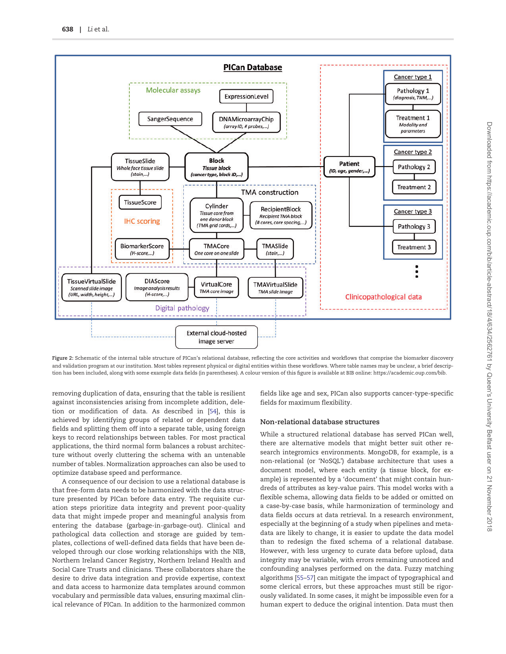<span id="page-4-0"></span>

Figure 2: Schematic of the internal table structure of PICan's relational database, reflecting the core activities and workflows that comprise the biomarker discovery and validation program at our institution. Most tables represent physical or digital entities within these workflows. Where table names may be unclear, a brief description has been included, along with some example data fields (in parentheses). A colour version of this figure is available at BIB online:<https://academic.oup.com/bib>.

removing duplication of data, ensuring that the table is resilient against inconsistencies arising from incomplete addition, deletion or modification of data. As described in [[54](#page-11-0)], this is achieved by identifying groups of related or dependent data fields and splitting them off into a separate table, using foreign keys to record relationships between tables. For most practical applications, the third normal form balances a robust architecture without overly cluttering the schema with an untenable number of tables. Normalization approaches can also be used to optimize database speed and performance.

A consequence of our decision to use a relational database is that free-form data needs to be harmonized with the data structure presented by PICan before data entry. The requisite curation steps prioritize data integrity and prevent poor-quality data that might impede proper and meaningful analysis from entering the database (garbage-in-garbage-out). Clinical and pathological data collection and storage are guided by templates, collections of well-defined data fields that have been developed through our close working relationships with the NIB, Northern Ireland Cancer Registry, Northern Ireland Health and Social Care Trusts and clinicians. These collaborators share the desire to drive data integration and provide expertise, context and data access to harmonize data templates around common vocabulary and permissible data values, ensuring maximal clinical relevance of PICan. In addition to the harmonized common fields like age and sex, PICan also supports cancer-type-specific fields for maximum flexibility.

#### Non-relational database structures

While a structured relational database has served PICan well, there are alternative models that might better suit other research integromics environments. MongoDB, for example, is a non-relational (or 'NoSQL') database architecture that uses a document model, where each entity (a tissue block, for example) is represented by a 'document' that might contain hundreds of attributes as key-value pairs. This model works with a flexible schema, allowing data fields to be added or omitted on a case-by-case basis, while harmonization of terminology and data fields occurs at data retrieval. In a research environment, especially at the beginning of a study when pipelines and metadata are likely to change, it is easier to update the data model than to redesign the fixed schema of a relational database. However, with less urgency to curate data before upload, data integrity may be variable, with errors remaining unnoticed and confounding analyses performed on the data. Fuzzy matching algorithms [\[55–57\]](#page-11-0) can mitigate the impact of typographical and some clerical errors, but these approaches must still be rigorously validated. In some cases, it might be impossible even for a human expert to deduce the original intention. Data must then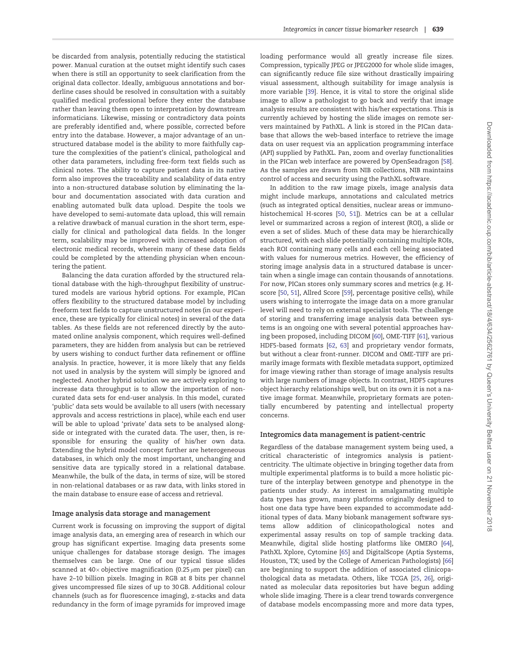be discarded from analysis, potentially reducing the statistical power. Manual curation at the outset might identify such cases when there is still an opportunity to seek clarification from the original data collector. Ideally, ambiguous annotations and borderline cases should be resolved in consultation with a suitably qualified medical professional before they enter the database rather than leaving them open to interpretation by downstream informaticians. Likewise, missing or contradictory data points are preferably identified and, where possible, corrected before entry into the database. However, a major advantage of an unstructured database model is the ability to more faithfully capture the complexities of the patient's clinical, pathological and other data parameters, including free-form text fields such as clinical notes. The ability to capture patient data in its native form also improves the traceability and scalability of data entry into a non-structured database solution by eliminating the labour and documentation associated with data curation and enabling automated bulk data upload. Despite the tools we have developed to semi-automate data upload, this will remain a relative drawback of manual curation in the short term, especially for clinical and pathological data fields. In the longer term, scalability may be improved with increased adoption of electronic medical records, wherein many of these data fields could be completed by the attending physician when encountering the patient.

Balancing the data curation afforded by the structured relational database with the high-throughput flexibility of unstructured models are various hybrid options. For example, PICan offers flexibility to the structured database model by including freeform text fields to capture unstructured notes (in our experience, these are typically for clinical notes) in several of the data tables. As these fields are not referenced directly by the automated online analysis component, which requires well-defined parameters, they are hidden from analysis but can be retrieved by users wishing to conduct further data refinement or offline analysis. In practice, however, it is more likely that any fields not used in analysis by the system will simply be ignored and neglected. Another hybrid solution we are actively exploring to increase data throughput is to allow the importation of noncurated data sets for end-user analysis. In this model, curated 'public' data sets would be available to all users (with necessary approvals and access restrictions in place), while each end user will be able to upload 'private' data sets to be analysed alongside or integrated with the curated data. The user, then, is responsible for ensuring the quality of his/her own data. Extending the hybrid model concept further are heterogeneous databases, in which only the most important, unchanging and sensitive data are typically stored in a relational database. Meanwhile, the bulk of the data, in terms of size, will be stored in non-relational databases or as raw data, with links stored in the main database to ensure ease of access and retrieval.

## Image analysis data storage and management

Current work is focussing on improving the support of digital image analysis data, an emerging area of research in which our group has significant expertise. Imaging data presents some unique challenges for database storage design. The images themselves can be large. One of our typical tissue slides scanned at 40 $\times$ objective magnification (0.25  $\mu$ m per pixel) can have 2–10 billion pixels. Imaging in RGB at 8 bits per channel gives uncompressed file sizes of up to 30 GB. Additional colour channels (such as for fluorescence imaging), z-stacks and data redundancy in the form of image pyramids for improved image

loading performance would all greatly increase file sizes. Compression, typically JPEG or JPEG2000 for whole slide images, can significantly reduce file size without drastically impairing visual assessment, although suitability for image analysis is more variable [\[39\]](#page-11-0). Hence, it is vital to store the original slide image to allow a pathologist to go back and verify that image analysis results are consistent with his/her expectations. This is currently achieved by hosting the slide images on remote servers maintained by PathXL. A link is stored in the PICan database that allows the web-based interface to retrieve the image data on user request via an application programming interface (API) supplied by PathXL. Pan, zoom and overlay functionalities in the PICan web interface are powered by OpenSeadragon [\[58\]](#page-11-0). As the samples are drawn from NIB collections, NIB maintains control of access and security using the PathXL software.

In addition to the raw image pixels, image analysis data might include markups, annotations and calculated metrics (such as integrated optical densities, nuclear areas or immunohistochemical H-scores [[50](#page-11-0), [51](#page-11-0)]). Metrics can be at a cellular level or summarized across a region of interest (ROI), a slide or even a set of slides. Much of these data may be hierarchically structured, with each slide potentially containing multiple ROIs, each ROI containing many cells and each cell being associated with values for numerous metrics. However, the efficiency of storing image analysis data in a structured database is uncertain when a single image can contain thousands of annotations. For now, PICan stores only summary scores and metrics (e.g. Hscore [\[50,](#page-11-0) [51](#page-11-0)], Allred Score [\[59\]](#page-11-0), percentage positive cells), while users wishing to interrogate the image data on a more granular level will need to rely on external specialist tools. The challenge of storing and transferring image analysis data between systems is an ongoing one with several potential approaches having been proposed, including DICOM [[60](#page-11-0)], OME-TIFF [\[61\]](#page-11-0), various HDF5-based formats [[62](#page-11-0), [63](#page-11-0)] and proprietary vendor formats, but without a clear front-runner. DICOM and OME-TIFF are primarily image formats with flexible metadata support, optimized for image viewing rather than storage of image analysis results with large numbers of image objects. In contrast, HDF5 captures object hierarchy relationships well, but on its own it is not a native image format. Meanwhile, proprietary formats are potentially encumbered by patenting and intellectual property concerns.

#### Integromics data management is patient-centric

Regardless of the database management system being used, a critical characteristic of integromics analysis is patientcentricity. The ultimate objective in bringing together data from multiple experimental platforms is to build a more holistic picture of the interplay between genotype and phenotype in the patients under study. As interest in amalgamating multiple data types has grown, many platforms originally designed to host one data type have been expanded to accommodate additional types of data. Many biobank management software systems allow addition of clinicopathological notes and experimental assay results on top of sample tracking data. Meanwhile, digital slide hosting platforms like OMERO [\[64\]](#page-11-0), PathXL Xplore, Cytomine [\[65\]](#page-11-0) and DigitalScope (Aptia Systems, Houston, TX; used by the College of American Pathologists) [\[66\]](#page-12-0) are beginning to support the addition of associated clinicopathological data as metadata. Others, like TCGA [[25](#page-11-0), [26\]](#page-11-0), originated as molecular data repositories but have begun adding whole slide imaging. There is a clear trend towards convergence of database models encompassing more and more data types,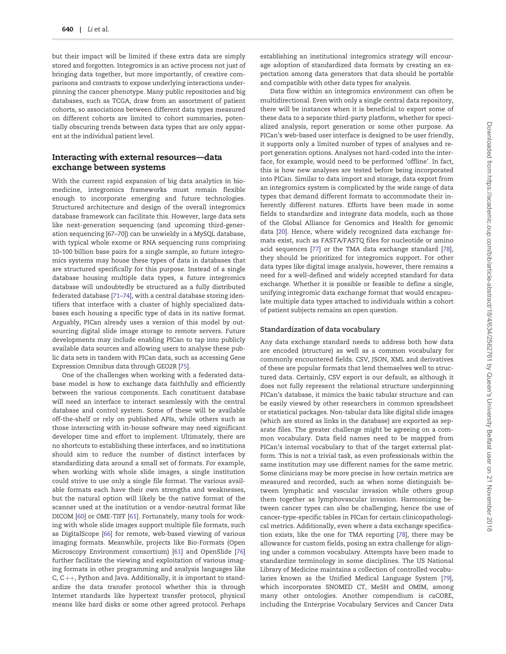but their impact will be limited if these extra data are simply stored and forgotten. Integromics is an active process not just of bringing data together, but more importantly, of creative comparisons and contrasts to expose underlying interactions underpinning the cancer phenotype. Many public repositories and big databases, such as TCGA, draw from an assortment of patient cohorts, so associations between different data types measured on different cohorts are limited to cohort summaries, potentially obscuring trends between data types that are only apparent at the individual patient level.

# Interacting with external resources—data exchange between systems

With the current rapid expansion of big data analytics in biomedicine, integromics frameworks must remain flexible enough to incorporate emerging and future technologies. Structured architecture and design of the overall integromics database framework can facilitate this. However, large data sets like next-generation sequencing (and upcoming third-generation sequencing [67–70]) can be unwieldy in a MySQL database, with typical whole exome or RNA sequencing runs comprising 10–100 billion base pairs for a single sample, so future integromics systems may house these types of data in databases that are structured specifically for this purpose. Instead of a single database housing multiple data types, a future integromics database will undoubtedly be structured as a fully distributed federated database [[71](#page-12-0)–[74](#page-12-0)], with a central database storing identifiers that interface with a cluster of highly specialized databases each housing a specific type of data in its native format. Arguably, PICan already uses a version of this model by outsourcing digital slide image storage to remote servers. Future developments may include enabling PICan to tap into publicly available data sources and allowing users to analyse these public data sets in tandem with PICan data, such as accessing Gene Expression Omnibus data through GEO2R [\[75\]](#page-12-0).

One of the challenges when working with a federated database model is how to exchange data faithfully and efficiently between the various components. Each constituent database will need an interface to interact seamlessly with the central database and control system. Some of these will be available off-the-shelf or rely on published APIs, while others such as those interacting with in-house software may need significant developer time and effort to implement. Ultimately, there are no shortcuts to establishing these interfaces, and so institutions should aim to reduce the number of distinct interfaces by standardizing data around a small set of formats. For example, when working with whole slide images, a single institution could strive to use only a single file format. The various available formats each have their own strengths and weaknesses, but the natural option will likely be the native format of the scanner used at the institution or a vendor-neutral format like DICOM [[60\]](#page-11-0) or OME-TIFF [\[61](#page-11-0)]. Fortunately, many tools for working with whole slide images support multiple file formats, such as DigitalScope [[66\]](#page-12-0) for remote, web-based viewing of various imaging formats. Meanwhile, projects like Bio-Formats (Open Microscopy Environment consortium) [[61](#page-11-0)] and OpenSlide [[76\]](#page-12-0) further facilitate the viewing and exploitation of various imaging formats in other programming and analysis languages like C,  $C_{++}$ , Python and Java. Additionally, it is important to standardize the data transfer protocol whether this is through Internet standards like hypertext transfer protocol, physical means like hard disks or some other agreed protocol. Perhaps establishing an institutional integromics strategy will encourage adoption of standardized data formats by creating an expectation among data generators that data should be portable and compatible with other data types for analysis.

Data flow within an integromics environment can often be multidirectional. Even with only a single central data repository, there will be instances when it is beneficial to export some of these data to a separate third-party platform, whether for specialized analysis, report generation or some other purpose. As PICan's web-based user interface is designed to be user friendly, it supports only a limited number of types of analyses and report generation options. Analyses not hard-coded into the interface, for example, would need to be performed 'offline'. In fact, this is how new analyses are tested before being incorporated into PICan. Similar to data import and storage, data export from an integromics system is complicated by the wide range of data types that demand different formats to accommodate their inherently different natures. Efforts have been made in some fields to standardize and integrate data models, such as those of the Global Alliance for Genomics and Health for genomic data [[20](#page-10-0)]. Hence, where widely recognized data exchange formats exist, such as FASTA/FASTQ files for nucleotide or amino acid sequences [[77](#page-12-0)] or the TMA data exchange standard [\[78\]](#page-12-0), they should be prioritized for integromics support. For other data types like digital image analysis, however, there remains a need for a well-defined and widely accepted standard for data exchange. Whether it is possible or feasible to define a single, unifying integromic data exchange format that would encapsulate multiple data types attached to individuals within a cohort of patient subjects remains an open question.

#### Standardization of data vocabulary

Any data exchange standard needs to address both how data are encoded (structure) as well as a common vocabulary for commonly encountered fields. CSV, JSON, XML and derivatives of these are popular formats that lend themselves well to structured data. Certainly, CSV export is our default, as although it does not fully represent the relational structure underpinning PICan's database, it mimics the basic tabular structure and can be easily viewed by other researchers in common spreadsheet or statistical packages. Non-tabular data like digital slide images (which are stored as links in the database) are exported as separate files. The greater challenge might be agreeing on a common vocabulary. Data field names need to be mapped from PICan's internal vocabulary to that of the target external platform. This is not a trivial task, as even professionals within the same institution may use different names for the same metric. Some clinicians may be more precise in how certain metrics are measured and recorded, such as when some distinguish between lymphatic and vascular invasion while others group them together as lymphovascular invasion. Harmonizing between cancer types can also be challenging, hence the use of cancer-type-specific tables in PICan for certain clinicopathological metrics. Additionally, even where a data exchange specification exists, like the one for TMA reporting [[78\]](#page-12-0), there may be allowance for custom fields, posing an extra challenge for aligning under a common vocabulary. Attempts have been made to standardize terminology in some disciplines. The US National Library of Medicine maintains a collection of controlled vocabularies known as the Unified Medical Language System [\[79\]](#page-12-0), which incorporates SNOMED CT, MeSH and OMIM, among many other ontologies. Another compendium is caCORE, including the Enterprise Vocabulary Services and Cancer Data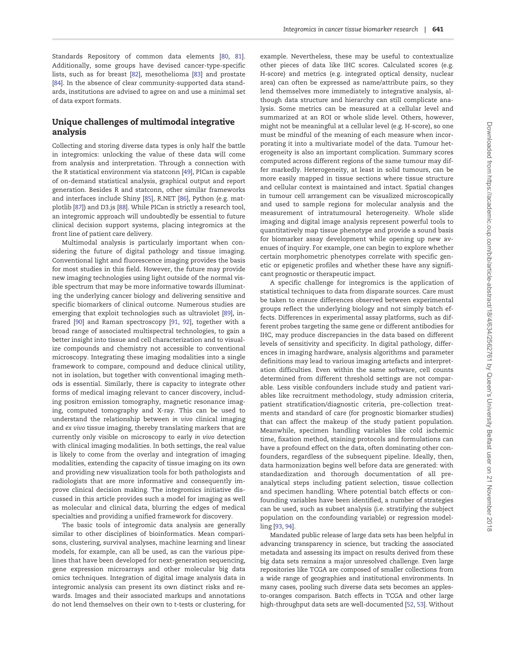Standards Repository of common data elements [\[80](#page-12-0), [81\]](#page-12-0). Additionally, some groups have devised cancer-type-specific lists, such as for breast [[82\]](#page-12-0), mesothelioma [[83](#page-12-0)] and prostate [\[84\]](#page-12-0). In the absence of clear community-supported data standards, institutions are advised to agree on and use a minimal set of data export formats.

# Unique challenges of multimodal integrative analysis

Collecting and storing diverse data types is only half the battle in integromics: unlocking the value of these data will come from analysis and interpretation. Through a connection with the R statistical environment via statconn [\[49\]](#page-11-0), PICan is capable of on-demand statistical analysis, graphical output and report generation. Besides R and statconn, other similar frameworks and interfaces include Shiny [\[85](#page-12-0)], R.NET [[86](#page-12-0)], Python (e.g. matplotlib [[87](#page-12-0)]) and D3.js [\[88](#page-12-0)]. While PICan is strictly a research tool, an integromic approach will undoubtedly be essential to future clinical decision support systems, placing integromics at the front line of patient care delivery.

Multimodal analysis is particularly important when considering the future of digital pathology and tissue imaging. Conventional light and fluorescence imaging provides the basis for most studies in this field. However, the future may provide new imaging technologies using light outside of the normal visible spectrum that may be more informative towards illuminating the underlying cancer biology and delivering sensitive and specific biomarkers of clinical outcome. Numerous studies are emerging that exploit technologies such as ultraviolet [\[89](#page-12-0)], infrared [\[90\]](#page-12-0) and Raman spectroscopy [\[91,](#page-12-0) [92\]](#page-12-0), together with a broad range of associated multispectral technologies, to gain a better insight into tissue and cell characterization and to visualize compounds and chemistry not accessible to conventional microscopy. Integrating these imaging modalities into a single framework to compare, compound and deduce clinical utility, not in isolation, but together with conventional imaging methods is essential. Similarly, there is capacity to integrate other forms of medical imaging relevant to cancer discovery, including positron emission tomography, magnetic resonance imaging, computed tomography and X-ray. This can be used to understand the relationship between in vivo clinical imaging and ex vivo tissue imaging, thereby translating markers that are currently only visible on microscopy to early in vivo detection with clinical imaging modalities. In both settings, the real value is likely to come from the overlay and integration of imaging modalities, extending the capacity of tissue imaging on its own and providing new visualization tools for both pathologists and radiologists that are more informative and consequently improve clinical decision making. The integromics initiative discussed in this article provides such a model for imaging as well as molecular and clinical data, blurring the edges of medical specialties and providing a unified framework for discovery.

The basic tools of integromic data analysis are generally similar to other disciplines of bioinformatics. Mean comparisons, clustering, survival analyses, machine learning and linear models, for example, can all be used, as can the various pipelines that have been developed for next-generation sequencing, gene expression microarrays and other molecular big data omics techniques. Integration of digital image analysis data in integromic analysis can present its own distinct risks and rewards. Images and their associated markups and annotations do not lend themselves on their own to t-tests or clustering, for

example. Nevertheless, these may be useful to contextualize other pieces of data like IHC scores. Calculated scores (e.g. H-score) and metrics (e.g. integrated optical density, nuclear area) can often be expressed as name/attribute pairs, so they lend themselves more immediately to integrative analysis, although data structure and hierarchy can still complicate analysis. Some metrics can be measured at a cellular level and summarized at an ROI or whole slide level. Others, however, might not be meaningful at a cellular level (e.g. H-score), so one must be mindful of the meaning of each measure when incorporating it into a multivariate model of the data. Tumour heterogeneity is also an important complication. Summary scores computed across different regions of the same tumour may differ markedly. Heterogeneity, at least in solid tumours, can be more easily mapped in tissue sections where tissue structure and cellular context is maintained and intact. Spatial changes in tumour cell arrangement can be visualized microscopically and used to sample regions for molecular analysis and the measurement of intratumoural heterogeneity. Whole slide imaging and digital image analysis represent powerful tools to quantitatively map tissue phenotype and provide a sound basis for biomarker assay development while opening up new avenues of inquiry. For example, one can begin to explore whether certain morphometric phenotypes correlate with specific genetic or epigenetic profiles and whether these have any significant prognostic or therapeutic impact.

A specific challenge for integromics is the application of statistical techniques to data from disparate sources. Care must be taken to ensure differences observed between experimental groups reflect the underlying biology and not simply batch effects. Differences in experimental assay platforms, such as different probes targeting the same gene or different antibodies for IHC, may produce discrepancies in the data based on different levels of sensitivity and specificity. In digital pathology, differences in imaging hardware, analysis algorithms and parameter definitions may lead to various imaging artefacts and interpretation difficulties. Even within the same software, cell counts determined from different threshold settings are not comparable. Less visible confounders include study and patient variables like recruitment methodology, study admission criteria, patient stratification/diagnostic criteria, pre-collection treatments and standard of care (for prognostic biomarker studies) that can affect the makeup of the study patient population. Meanwhile, specimen handling variables like cold ischemic time, fixation method, staining protocols and formulations can have a profound effect on the data, often dominating other confounders, regardless of the subsequent pipeline. Ideally, then, data harmonization begins well before data are generated: with standardization and thorough documentation of all preanalytical steps including patient selection, tissue collection and specimen handling. Where potential batch effects or confounding variables have been identified, a number of strategies can be used, such as subset analysis (i.e. stratifying the subject population on the confounding variable) or regression modelling [\[93,](#page-12-0) [94\]](#page-12-0).

Mandated public release of large data sets has been helpful in advancing transparency in science, but tracking the associated metadata and assessing its impact on results derived from these big data sets remains a major unresolved challenge. Even large repositories like TCGA are composed of smaller collections from a wide range of geographies and institutional environments. In many cases, pooling such diverse data sets becomes an applesto-oranges comparison. Batch effects in TCGA and other large high-throughput data sets are well-documented [[52,](#page-11-0) [53\]](#page-11-0). Without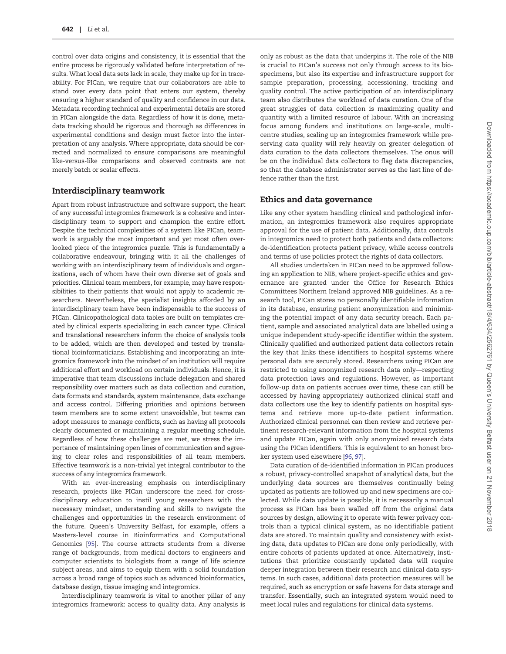control over data origins and consistency, it is essential that the entire process be rigorously validated before interpretation of results. What local data sets lack in scale, they make up for in traceability. For PICan, we require that our collaborators are able to stand over every data point that enters our system, thereby ensuring a higher standard of quality and confidence in our data. Metadata recording technical and experimental details are stored in PICan alongside the data. Regardless of how it is done, metadata tracking should be rigorous and thorough as differences in experimental conditions and design must factor into the interpretation of any analysis. Where appropriate, data should be corrected and normalized to ensure comparisons are meaningful like-versus-like comparisons and observed contrasts are not merely batch or scalar effects.

## Interdisciplinary teamwork

Apart from robust infrastructure and software support, the heart of any successful integromics framework is a cohesive and interdisciplinary team to support and champion the entire effort. Despite the technical complexities of a system like PICan, teamwork is arguably the most important and yet most often overlooked piece of the integromics puzzle. This is fundamentally a collaborative endeavour, bringing with it all the challenges of working with an interdisciplinary team of individuals and organizations, each of whom have their own diverse set of goals and priorities. Clinical team members, for example, may have responsibilities to their patients that would not apply to academic researchers. Nevertheless, the specialist insights afforded by an interdisciplinary team have been indispensable to the success of PICan. Clinicopathological data tables are built on templates created by clinical experts specializing in each cancer type. Clinical and translational researchers inform the choice of analysis tools to be added, which are then developed and tested by translational bioinformaticians. Establishing and incorporating an integromics framework into the mindset of an institution will require additional effort and workload on certain individuals. Hence, it is imperative that team discussions include delegation and shared responsibility over matters such as data collection and curation, data formats and standards, system maintenance, data exchange and access control. Differing priorities and opinions between team members are to some extent unavoidable, but teams can adopt measures to manage conflicts, such as having all protocols clearly documented or maintaining a regular meeting schedule. Regardless of how these challenges are met, we stress the importance of maintaining open lines of communication and agreeing to clear roles and responsibilities of all team members. Effective teamwork is a non-trivial yet integral contributor to the success of any integromics framework.

With an ever-increasing emphasis on interdisciplinary research, projects like PICan underscore the need for crossdisciplinary education to instil young researchers with the necessary mindset, understanding and skills to navigate the challenges and opportunities in the research environment of the future. Queen's University Belfast, for example, offers a Masters-level course in Bioinformatics and Computational Genomics [\[95\]](#page-12-0). The course attracts students from a diverse range of backgrounds, from medical doctors to engineers and computer scientists to biologists from a range of life science subject areas, and aims to equip them with a solid foundation across a broad range of topics such as advanced bioinformatics, database design, tissue imaging and integromics.

Interdisciplinary teamwork is vital to another pillar of any integromics framework: access to quality data. Any analysis is only as robust as the data that underpins it. The role of the NIB is crucial to PICan's success not only through access to its biospecimens, but also its expertise and infrastructure support for sample preparation, processing, accessioning, tracking and quality control. The active participation of an interdisciplinary team also distributes the workload of data curation. One of the great struggles of data collection is maximizing quality and quantity with a limited resource of labour. With an increasing focus among funders and institutions on large-scale, multicentre studies, scaling up an integromics framework while preserving data quality will rely heavily on greater delegation of data curation to the data collectors themselves. The onus will be on the individual data collectors to flag data discrepancies, so that the database administrator serves as the last line of defence rather than the first.

## Ethics and data governance

Like any other system handling clinical and pathological information, an integromics framework also requires appropriate approval for the use of patient data. Additionally, data controls in integromics need to protect both patients and data collectors: de-identification protects patient privacy, while access controls and terms of use policies protect the rights of data collectors.

All studies undertaken in PICan need to be approved following an application to NIB, where project-specific ethics and governance are granted under the Office for Research Ethics Committees Northern Ireland approved NIB guidelines. As a research tool, PICan stores no personally identifiable information in its database, ensuring patient anonymization and minimizing the potential impact of any data security breach. Each patient, sample and associated analytical data are labelled using a unique independent study-specific identifier within the system. Clinically qualified and authorized patient data collectors retain the key that links these identifiers to hospital systems where personal data are securely stored. Researchers using PICan are restricted to using anonymized research data only—respecting data protection laws and regulations. However, as important follow-up data on patients accrues over time, these can still be accessed by having appropriately authorized clinical staff and data collectors use the key to identify patients on hospital systems and retrieve more up-to-date patient information. Authorized clinical personnel can then review and retrieve pertinent research-relevant information from the hospital systems and update PICan, again with only anonymized research data using the PICan identifiers. This is equivalent to an honest broker system used elsewhere [[96](#page-12-0), [97](#page-12-0)].

Data curation of de-identified information in PICan produces a robust, privacy-controlled snapshot of analytical data, but the underlying data sources are themselves continually being updated as patients are followed up and new specimens are collected. While data update is possible, it is necessarily a manual process as PICan has been walled off from the original data sources by design, allowing it to operate with fewer privacy controls than a typical clinical system, as no identifiable patient data are stored. To maintain quality and consistency with existing data, data updates to PICan are done only periodically, with entire cohorts of patients updated at once. Alternatively, institutions that prioritize constantly updated data will require deeper integration between their research and clinical data systems. In such cases, additional data protection measures will be required, such as encryption or safe havens for data storage and transfer. Essentially, such an integrated system would need to meet local rules and regulations for clinical data systems.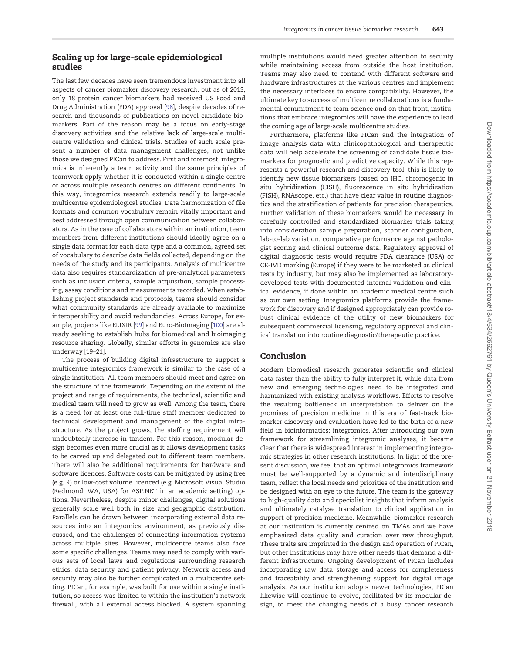# Scaling up for large-scale epidemiological studies

The last few decades have seen tremendous investment into all aspects of cancer biomarker discovery research, but as of 2013, only 18 protein cancer biomarkers had received US Food and Drug Administration (FDA) approval [\[98](#page-12-0)], despite decades of research and thousands of publications on novel candidate biomarkers. Part of the reason may be a focus on early-stage discovery activities and the relative lack of large-scale multicentre validation and clinical trials. Studies of such scale present a number of data management challenges, not unlike those we designed PICan to address. First and foremost, integromics is inherently a team activity and the same principles of teamwork apply whether it is conducted within a single centre or across multiple research centres on different continents. In this way, integromics research extends readily to large-scale multicentre epidemiological studies. Data harmonization of file formats and common vocabulary remain vitally important and best addressed through open communication between collaborators. As in the case of collaborators within an institution, team members from different institutions should ideally agree on a single data format for each data type and a common, agreed set of vocabulary to describe data fields collected, depending on the needs of the study and its participants. Analysis of multicentre data also requires standardization of pre-analytical parameters such as inclusion criteria, sample acquisition, sample processing, assay conditions and measurements recorded. When establishing project standards and protocols, teams should consider what community standards are already available to maximize interoperability and avoid redundancies. Across Europe, for example, projects like ELIXIR [[99](#page-12-0)] and Euro-BioImaging [\[100\]](#page-12-0) are already seeking to establish hubs for biomedical and bioimaging resource sharing. Globally, similar efforts in genomics are also underway [19–21].

The process of building digital infrastructure to support a multicentre integromics framework is similar to the case of a single institution. All team members should meet and agree on the structure of the framework. Depending on the extent of the project and range of requirements, the technical, scientific and medical team will need to grow as well. Among the team, there is a need for at least one full-time staff member dedicated to technical development and management of the digital infrastructure. As the project grows, the staffing requirement will undoubtedly increase in tandem. For this reason, modular design becomes even more crucial as it allows development tasks to be carved up and delegated out to different team members. There will also be additional requirements for hardware and software licences. Software costs can be mitigated by using free (e.g. R) or low-cost volume licenced (e.g. Microsoft Visual Studio (Redmond, WA, USA) for ASP.NET in an academic setting) options. Nevertheless, despite minor challenges, digital solutions generally scale well both in size and geographic distribution. Parallels can be drawn between incorporating external data resources into an integromics environment, as previously discussed, and the challenges of connecting information systems across multiple sites. However, multicentre teams also face some specific challenges. Teams may need to comply with various sets of local laws and regulations surrounding research ethics, data security and patient privacy. Network access and security may also be further complicated in a multicentre setting. PICan, for example, was built for use within a single institution, so access was limited to within the institution's network firewall, with all external access blocked. A system spanning

multiple institutions would need greater attention to security while maintaining access from outside the host institution. Teams may also need to contend with different software and hardware infrastructures at the various centres and implement the necessary interfaces to ensure compatibility. However, the ultimate key to success of multicentre collaborations is a fundamental commitment to team science and on that front, institutions that embrace integromics will have the experience to lead the coming age of large-scale multicentre studies.

Furthermore, platforms like PICan and the integration of image analysis data with clinicopathological and therapeutic data will help accelerate the screening of candidate tissue biomarkers for prognostic and predictive capacity. While this represents a powerful research and discovery tool, this is likely to identify new tissue biomarkers (based on IHC, chromogenic in situ hybridization (CISH), fluorescence in situ hybridization (FISH), RNAscope, etc.) that have clear value in routine diagnostics and the stratification of patients for precision therapeutics. Further validation of these biomarkers would be necessary in carefully controlled and standardized biomarker trials taking into consideration sample preparation, scanner configuration, lab-to-lab variation, comparative performance against pathologist scoring and clinical outcome data. Regulatory approval of digital diagnostic tests would require FDA clearance (USA) or CE-IVD marking (Europe) if they were to be marketed as clinical tests by industry, but may also be implemented as laboratorydeveloped tests with documented internal validation and clinical evidence, if done within an academic medical centre such as our own setting. Integromics platforms provide the framework for discovery and if designed appropriately can provide robust clinical evidence of the utility of new biomarkers for subsequent commercial licensing, regulatory approval and clinical translation into routine diagnostic/therapeutic practice.

# Conclusion

Modern biomedical research generates scientific and clinical data faster than the ability to fully interpret it, while data from new and emerging technologies need to be integrated and harmonized with existing analysis workflows. Efforts to resolve the resulting bottleneck in interpretation to deliver on the promises of precision medicine in this era of fast-track biomarker discovery and evaluation have led to the birth of a new field in bioinformatics: integromics. After introducing our own framework for streamlining integromic analyses, it became clear that there is widespread interest in implementing integromic strategies in other research institutions. In light of the present discussion, we feel that an optimal integromics framework must be well-supported by a dynamic and interdisciplinary team, reflect the local needs and priorities of the institution and be designed with an eye to the future. The team is the gateway to high-quality data and specialist insights that inform analysis and ultimately catalyse translation to clinical application in support of precision medicine. Meanwhile, biomarker research at our institution is currently centred on TMAs and we have emphasized data quality and curation over raw throughput. These traits are imprinted in the design and operation of PICan, but other institutions may have other needs that demand a different infrastructure. Ongoing development of PICan includes incorporating raw data storage and access for completeness and traceability and strengthening support for digital image analysis. As our institution adopts newer technologies, PICan likewise will continue to evolve, facilitated by its modular design, to meet the changing needs of a busy cancer research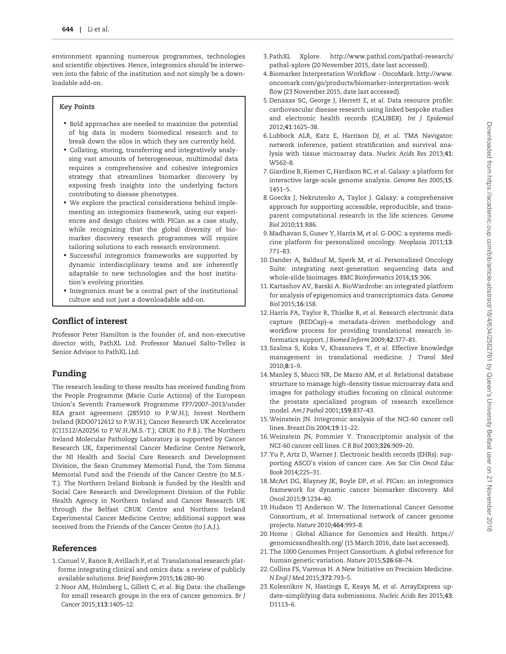<span id="page-10-0"></span>environment spanning numerous programmes, technologies and scientific objectives. Hence, integromics should be interwoven into the fabric of the institution and not simply be a downloadable add-on.

## Key Points

- Bold approaches are needed to maximize the potential of big data in modern biomedical research and to break down the silos in which they are currently held.
- Collating, storing, transferring and integratively analysing vast amounts of heterogeneous, multimodal data requires a comprehensive and cohesive integromics strategy that streamlines biomarker discovery by exposing fresh insights into the underlying factors contributing to disease phenotypes.
- We explore the practical considerations behind implementing an integromics framework, using our experiences and design choices with PICan as a case study, while recognizing that the global diversity of biomarker discovery research programmes will require tailoring solutions to each research environment.
- Successful integromics frameworks are supported by dynamic interdisciplinary teams and are inherently adaptable to new technologies and the host institution's evolving priorities.
- Integromics must be a central part of the institutional culture and not just a downloadable add-on.

# Conflict of interest

Professor Peter Hamilton is the founder of, and non-executive director with, PathXL Ltd. Professor Manuel Salto-Tellez is Senior Advisor to PathXL Ltd.

# Funding

The research leading to these results has received funding from the People Programme (Marie Curie Actions) of the European Union's Seventh Framework Programme FP7/2007–2013/under REA grant agreement (285910 to P.W.H.); Invest Northern Ireland (RDO0712612 to P.W.H.); Cancer Research UK Accelerator (C11512/A20256 to P.W.H./M.S.-T.); CRUK (to P.B.). The Northern Ireland Molecular Pathology Laboratory is supported by Cancer Research UK, Experimental Cancer Medicine Centre Network, the NI Health and Social Care Research and Development Division, the Sean Crummey Memorial Fund, the Tom Simms Memorial Fund and the Friends of the Cancer Centre (to M.S.- T.). The Northern Ireland Biobank is funded by the Health and Social Care Research and Development Division of the Public Health Agency in Northern Ireland and Cancer Research UK through the Belfast CRUK Centre and Northern Ireland Experimental Cancer Medicine Centre; additional support was received from the Friends of the Cancer Centre (to J.A.J.).

## References

- 1.Canuel V, Rance B, Avillach P, et al. Translational research platforms integrating clinical and omics data: a review of publicly available solutions. Brief Bioinform 2015;16:280–90.
- 2. Noor AM, Holmberg L, Gillett C, et al. Big Data: the challenge for small research groups in the era of cancer genomics. Br J Cancer 2015;113:1405–12.
- 3. PathXL Xplore. [http://www.pathxl.com/pathxl-research/](http://www.pathxl.com/pathxl-research/pathxl-xplore) [pathxl-xplore](http://www.pathxl.com/pathxl-research/pathxl-xplore) (20 November 2015, date last accessed).
- 4. Biomarker Interpretation Workflow OncoMark. [http://www.](http://www.oncomark.com/go/products/biomarker-interpretation-workflow) [oncomark.com/go/products/biomarker-interpretation-work](http://www.oncomark.com/go/products/biomarker-interpretation-workflow) [flow](http://www.oncomark.com/go/products/biomarker-interpretation-workflow) (23 November 2015, date last accessed).
- 5. Denaxas SC, George J, Herrett E, et al. Data resource profile: cardiovascular disease research using linked bespoke studies and electronic health records (CALIBER). Int J Epidemiol 2012;41:1625–38.
- 6. Lubbock ALR, Katz E, Harrison DJ, et al. TMA Navigator: network inference, patient stratification and survival analysis with tissue microarray data. Nucleic Acids Res 2013;41: W562–8.
- 7. Giardine B, Riemer C, Hardison RC, et al. Galaxy: a platform for interactive large-scale genome analysis. Genome Res 2005;15: 1451–5.
- 8. Goecks J, Nekrutenko A, Taylor J. Galaxy: a comprehensive approach for supporting accessible, reproducible, and transparent computational research in the life sciences. Genome Biol 2010;11:R86.
- 9. Madhavan S, Gusev Y, Harris M, et al. G-DOC: a systems medicine platform for personalized oncology. Neoplasia 2011;13: 771–83.
- 10.Dander A, Baldauf M, Sperk M, et al. Personalized Oncology Suite: integrating next-generation sequencing data and whole-slide bioimages. BMC Bioinformatics 2014;15:306.
- 11.Kartashov AV, Barski A. BioWardrobe: an integrated platform for analysis of epigenomics and transcriptomics data. Genome Biol 2015;16:158.
- 12.Harris PA, Taylor R, Thielke R, et al. Research electronic data capture (REDCap)–a metadata-driven methodology and workflow process for providing translational research informatics support. J Biomed Inform 2009;42:377–81.
- 13.Szalma S, Koka V, Khasanova T, et al. Effective knowledge management in translational medicine. J Transl Med 2010;8:1–9.
- 14.Manley S, Mucci NR, De Marzo AM, et al. Relational database structure to manage high-density tissue microarray data and images for pathology studies focusing on clinical outcome: the prostate specialized program of research excellence model. Am J Pathol 2001;159:837–43.
- 15.Weinstein JN. Integromic analysis of the NCI-60 cancer cell lines. Breast Dis 2004;19:11–22.
- 16.Weinstein JN, Pommier Y. Transcriptomic analysis of the NCI-60 cancer cell lines. C R Biol 2003;326:909–20.
- 17.Yu P, Artz D, Warner J. Electronic health records (EHRs): supporting ASCO's vision of cancer care. Am Soc Clin Oncol Educ Book 2014;225–31.
- 18.McArt DG, Blayney JK, Boyle DP, et al. PICan: an integromics framework for dynamic cancer biomarker discovery. Mol Oncol 2015;9:1234–40.
- 19.Hudson TJ Anderson W. The International Cancer Genome Consortium, et al. International network of cancer genome projects. Nature 2010;464:993–8.
- 20.Home j Global Alliance for Genomics and Health. [https://](https://genomicsandhealth.org/ ) [genomicsandhealth.org/](https://genomicsandhealth.org/ ) (15 March 2016, date last accessed).
- 21.The 1000 Genomes Project Consortium. A global reference for human genetic variation. Nature 2015;526:68–74.
- 22.Collins FS, Varmus H. A New Initiative on Precision Medicine. N Engl J Med 2015;372:793–5.
- 23.Kolesnikov N, Hastings E, Keays M, et al. ArrayExpress update–simplifying data submissions. Nucleic Acids Res 2015;43: D1113–6.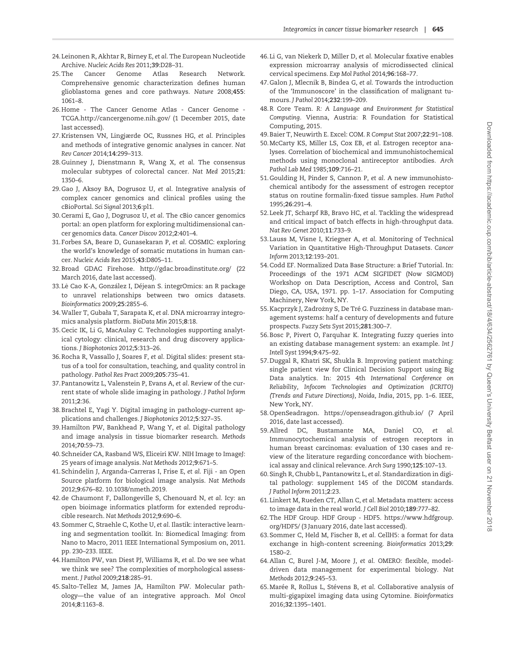- <span id="page-11-0"></span>24.Leinonen R, Akhtar R, Birney E, et al. The European Nucleotide Archive. Nucleic Acids Res 2011;39:D28–31.
- 25.The Cancer Genome Atlas Research Network. Comprehensive genomic characterization defines human glioblastoma genes and core pathways. Nature 2008;455: 1061–8.
- 26.Home The Cancer Genome Atlas Cancer Genome TCGA.<http://cancergenome.nih.gov/> (1 December 2015, date last accessed).
- 27.Kristensen VN, Lingjærde OC, Russnes HG, et al. Principles and methods of integrative genomic analyses in cancer. Nat Rev Cancer 2014;14:299–313.
- 28.Guinney J, Dienstmann R, Wang X, et al. The consensus molecular subtypes of colorectal cancer. Nat Med 2015;21: 1350–6.
- 29.Gao J, Aksoy BA, Dogrusoz U, et al. Integrative analysis of complex cancer genomics and clinical profiles using the cBioPortal. Sci Signal 2013;6:pl1.
- 30.Cerami E, Gao J, Dogrusoz U, et al. The cBio cancer genomics portal: an open platform for exploring multidimensional cancer genomics data. Cancer Discov 2012;2:401–4.
- 31.Forbes SA, Beare D, Gunasekaran P, et al. COSMIC: exploring the world's knowledge of somatic mutations in human cancer. Nucleic Acids Res 2015;43:D805–11.
- 32.Broad GDAC Firehose. [http://gdac.broadinstitute.org/](http://gdac.broadinstitute.org/ ) (22 March 2016, date last accessed).
- 33.Lê Cao K-A, González I, Déjean S. integrOmics: an R package to unravel relationships between two omics datasets. Bioinformatics 2009;25:2855–6.
- 34.Waller T, Gubała T, Sarapata K, et al. DNA microarray integromics analysis platform. BioData Min 2015;8:18.
- 35.Cecic IK, Li G, MacAulay C. Technologies supporting analytical cytology: clinical, research and drug discovery applications. J Biophotonics 2012;5:313–26.
- 36.Rocha R, Vassallo J, Soares F, et al. Digital slides: present status of a tool for consultation, teaching, and quality control in pathology. Pathol Res Pract 2009;205:735–41.
- 37.Pantanowitz L, Valenstein P, Evans A, et al. Review of the current state of whole slide imaging in pathology. J Pathol Inform 2011;2:36.
- 38.Brachtel E, Yagi Y. Digital imaging in pathology–current applications and challenges. J Biophotonics 2012;5:327–35.
- 39.Hamilton PW, Bankhead P, Wang Y, et al. Digital pathology and image analysis in tissue biomarker research. Methods 2014;70:59–73.
- 40.Schneider CA, Rasband WS, Eliceiri KW. NIH Image to ImageJ: 25 years of image analysis. Nat Methods 2012;9:671–5.
- 41.Schindelin J, Arganda-Carreras I, Frise E, et al. Fiji an Open Source platform for biological image analysis. Nat Methods 2012;9:676–82. 10.1038/nmeth.2019.
- 42.de Chaumont F, Dallongeville S, Chenouard N, et al. Icy: an open bioimage informatics platform for extended reproducible research. Nat Methods 2012;9:690–6.
- 43.Sommer C, Straehle C, Kothe U, et al. Ilastik: interactive learning and segmentation toolkit. In: Biomedical Imaging: from Nano to Macro, 2011 IEEE International Symposium on, 2011. pp. 230–233. IEEE.
- 44.Hamilton PW, van Diest PJ, Williams R, et al. Do we see what we think we see? The complexities of morphological assessment. J Pathol 2009;218:285–91.
- 45.Salto-Tellez M, James JA, Hamilton PW. Molecular pathology—the value of an integrative approach. Mol Oncol 2014;8:1163–8.
- 46.Li G, van Niekerk D, Miller D, et al. Molecular fixative enables expression microarray analysis of microdissected clinical cervical specimens. Exp Mol Pathol 2014;96:168–77.
- 47.Galon J, Mlecnik B, Bindea G, et al. Towards the introduction of the 'Immunoscore' in the classification of malignant tumours. J Pathol 2014;232:199–209.
- 48.R Core Team. R: A Language and Environment for Statistical Computing. Vienna, Austria: R Foundation for Statistical Computing, 2015.
- 49.Baier T, Neuwirth E. Excel: COM. R Comput Stat 2007;22:91–108.
- 50.McCarty KS, Miller LS, Cox EB, et al. Estrogen receptor analyses. Correlation of biochemical and immunohistochemical methods using monoclonal antireceptor antibodies. Arch Pathol Lab Med 1985;109:716–21.
- 51.Goulding H, Pinder S, Cannon P, et al. A new immunohistochemical antibody for the assessment of estrogen receptor status on routine formalin-fixed tissue samples. Hum Pathol 1995;26:291–4.
- 52.Leek JT, Scharpf RB, Bravo HC, et al. Tackling the widespread and critical impact of batch effects in high-throughput data. Nat Rev Genet 2010;11:733–9.
- 53.Lauss M, Visne I, Kriegner A, et al. Monitoring of Technical Variation in Quantitative High-Throughput Datasets. Cancer Inform 2013;12:193–201.
- 54.Codd EF. Normalized Data Base Structure: a Brief Tutorial. In: Proceedings of the 1971 ACM SIGFIDET (Now SIGMOD) Workshop on Data Description, Access and Control, San Diego, CA, USA, 1971. pp. 1–17. Association for Computing Machinery, New York, NY.
- 55. Kacprzyk J, Zadrożny S, De Tré G. Fuzziness in database management systems: half a century of developments and future prospects. Fuzzy Sets Syst 2015;281:300–7.
- 56.Bosc P, Pivert O, Farquhar K. Integrating fuzzy queries into an existing database management system: an example. Int J Intell Syst 1994;9:475–92.
- 57.Duggal R, Khatri SK, Shukla B. Improving patient matching: single patient view for Clinical Decision Support using Big Data analytics. In: 2015 4th International Conference on Reliability, Infocom Technologies and Optimization (ICRITO) (Trends and Future Directions), Noida, India, 2015, pp. 1–6. IEEE, New York, NY.
- 58.OpenSeadragon.<https://openseadragon.github.io/> (7 April 2016, date last accessed).
- 59.Allred DC, Bustamante MA, Daniel CO, et al. Immunocytochemical analysis of estrogen receptors in human breast carcinomas: evaluation of 130 cases and review of the literature regarding concordance with biochemical assay and clinical relevance. Arch Surg 1990;125:107–13.
- 60.Singh R, Chubb L, Pantanowitz L, et al. Standardization in digital pathology: supplement 145 of the DICOM standards. J Pathol Inform 2011;2:23.
- 61.Linkert M, Rueden CT, Allan C, et al. Metadata matters: access to image data in the real world. J Cell Biol 2010;189:777–82.
- 62.The HDF Group. HDF Group HDF5. [https://www.hdfgroup.](https://www.hdfgroup.org/HDF5/ ) [org/HDF5/](https://www.hdfgroup.org/HDF5/ ) (3 January 2016, date last accessed).
- 63.Sommer C, Held M, Fischer B, et al. CellH5: a format for data exchange in high-content screening. Bioinformatics 2013;29: 1580–2.
- 64.Allan C, Burel J-M, Moore J, et al. OMERO: flexible, modeldriven data management for experimental biology. Nat Methods 2012;9:245–53.
- 65. Marée R, Rollus L, Stévens B, et al. Collaborative analysis of multi-gigapixel imaging data using Cytomine. Bioinformatics 2016;32:1395–1401.